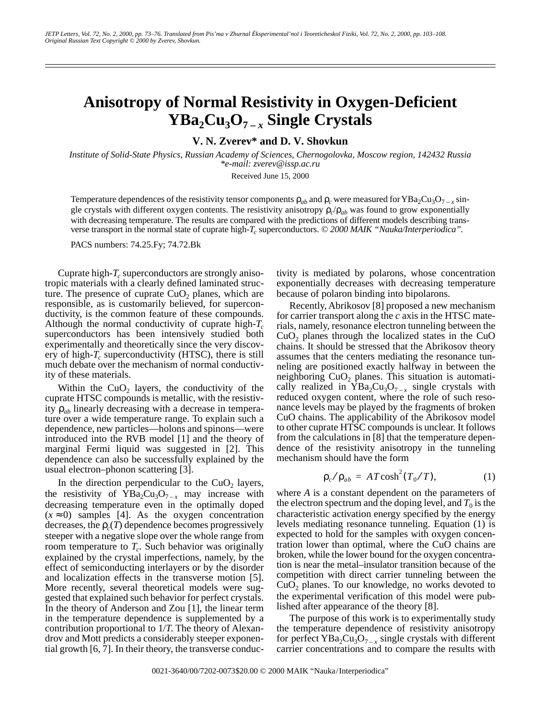## **Anisotropy of Normal Resistivity in Oxygen-Deficient YBa2Cu3O7 –** *x* **Single Crystals**

**V. N. Zverev\* and D. V. Shovkun**

*Institute of Solid-State Physics, Russian Academy of Sciences, Chernogolovka, Moscow region, 142432 Russia \*e-mail: zverev@issp.ac.ru*

Received June 15, 2000

Temperature dependences of the resistivity tensor components  $\rho_{ab}$  and  $\rho_c$  were measured for YBa<sub>2</sub>Cu<sub>3</sub>O<sub>7 – *x*</sub> single crystals with different oxygen contents. The resistivity anisotropy  $\rho_c/\rho_{ab}$  was found to grow exponentially with decreasing temperature. The results are compared with the predictions of different models describing transverse transport in the normal state of cuprate high-*T<sub>c</sub>* superconductors. © 2000 MAIK "Nauka/Interperiodica".

PACS numbers: 74.25.Fy; 74.72.Bk

Cuprate high- $T_c$  superconductors are strongly anisotropic materials with a clearly defined laminated structure. The presence of cuprate  $CuO<sub>2</sub>$  planes, which are responsible, as is customarily believed, for superconductivity, is the common feature of these compounds. Although the normal conductivity of cuprate high- $T_c$ superconductors has been intensively studied both experimentally and theoretically since the very discovery of high- $T_c$  superconductivity (HTSC), there is still much debate over the mechanism of normal conductivity of these materials.

Within the  $CuO<sub>2</sub>$  layers, the conductivity of the cuprate HTSC compounds is metallic, with the resistivity ρ*ab* linearly decreasing with a decrease in temperature over a wide temperature range. To explain such a dependence, new particles—holons and spinons—were introduced into the RVB model [1] and the theory of marginal Fermi liquid was suggested in [2]. This dependence can also be successfully explained by the usual electron–phonon scattering [3].

In the direction perpendicular to the  $CuO<sub>2</sub>$  layers, the resistivity of  $YBa<sub>2</sub>Cu<sub>3</sub>O<sub>7-x</sub>$  may increase with decreasing temperature even in the optimally doped  $(x \approx 0)$  samples [4]. As the oxygen concentration decreases, the  $\rho_c(T)$  dependence becomes progressively steeper with a negative slope over the whole range from room temperature to  $T_c$ . Such behavior was originally explained by the crystal imperfections, namely, by the effect of semiconducting interlayers or by the disorder and localization effects in the transverse motion [5]. More recently, several theoretical models were suggested that explained such behavior for perfect crystals. In the theory of Anderson and Zou [1], the linear term in the temperature dependence is supplemented by a contribution proportional to 1/*T*. The theory of Alexandrov and Mott predicts a considerably steeper exponential growth [6, 7]. In their theory, the transverse conductivity is mediated by polarons, whose concentration exponentially decreases with decreasing temperature because of polaron binding into bipolarons.

Recently, Abrikosov [8] proposed a new mechanism for carrier transport along the *c* axis in the HTSC materials, namely, resonance electron tunneling between the  $CuO<sub>2</sub>$  planes through the localized states in the CuO chains. It should be stressed that the Abrikosov theory assumes that the centers mediating the resonance tunneling are positioned exactly halfway in between the neighboring  $CuO<sub>2</sub>$  planes. This situation is automatically realized in  $YBa<sub>2</sub>Cu<sub>3</sub>O<sub>7-x</sub>$  single crystals with reduced oxygen content, where the role of such resonance levels may be played by the fragments of broken CuO chains. The applicability of the Abrikosov model to other cuprate HTSC compounds is unclear. It follows from the calculations in [8] that the temperature dependence of the resistivity anisotropy in the tunneling mechanism should have the form

$$
\rho_c / \rho_{ab} = AT \cosh^2(T_0/T), \qquad (1)
$$

where *A* is a constant dependent on the parameters of the electron spectrum and the doping level, and  $T_0$  is the characteristic activation energy specified by the energy levels mediating resonance tunneling. Equation (1) is expected to hold for the samples with oxygen concentration lower than optimal, where the CuO chains are broken, while the lower bound for the oxygen concentration is near the metal–insulator transition because of the competition with direct carrier tunneling between the  $CuO<sub>2</sub>$  planes. To our knowledge, no works devoted to the experimental verification of this model were published after appearance of the theory [8].

The purpose of this work is to experimentally study the temperature dependence of resistivity anisotropy for perfect  $YBa<sub>2</sub>Cu<sub>3</sub>O<sub>7-x</sub>$  single crystals with different carrier concentrations and to compare the results with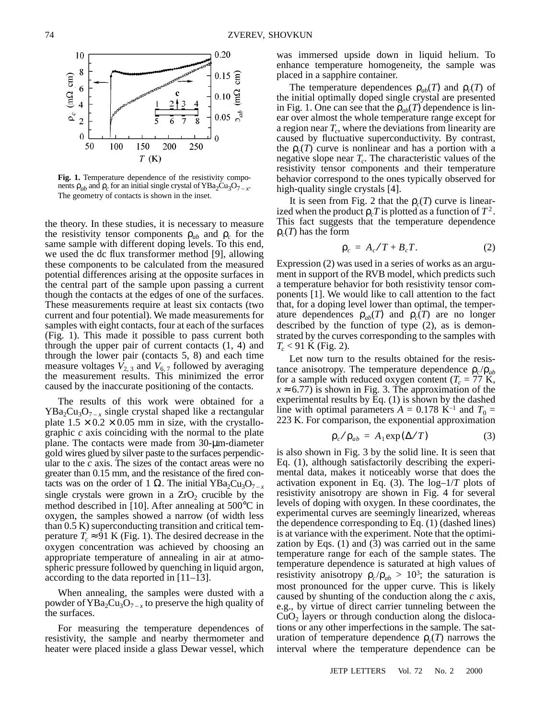

**Fig. 1.** Temperature dependence of the resistivity components  $\rho_{ab}$  and  $\rho_c$  for an initial single crystal of YBa<sub>2</sub>Cu<sub>3</sub>O<sub>7</sub> – *x*. The geometry of contacts is shown in the inset.

the theory. In these studies, it is necessary to measure the resistivity tensor components  $\rho_{ab}$  and  $\rho_c$  for the same sample with different doping levels. To this end, we used the dc flux transformer method [9], allowing these components to be calculated from the measured potential differences arising at the opposite surfaces in the central part of the sample upon passing a current though the contacts at the edges of one of the surfaces. These measurements require at least six contacts (two current and four potential). We made measurements for samples with eight contacts, four at each of the surfaces (Fig. 1). This made it possible to pass current both through the upper pair of current contacts (1, 4) and through the lower pair (contacts 5, 8) and each time measure voltages  $V_{2,3}$  and  $V_{6,7}$  followed by averaging the measurement results. This minimized the error caused by the inaccurate positioning of the contacts.

The results of this work were obtained for a  $YBa<sub>2</sub>Cu<sub>3</sub>O<sub>7-x</sub>$  single crystal shaped like a rectangular plate  $1.5 \times 0.2 \times 0.05$  mm in size, with the crystallographic *c* axis coinciding with the normal to the plate plane. The contacts were made from 30-µm-diameter gold wires glued by silver paste to the surfaces perpendicular to the *c* axis. The sizes of the contact areas were no greater than 0.15 mm, and the resistance of the fired contacts was on the order of 1 Ω. The initial YBa<sub>2</sub>Cu<sub>3</sub>O<sub>7-*x*</sub> single crystals were grown in a  $ZrO<sub>2</sub>$  crucible by the method described in [10]. After annealing at 500°C in oxygen, the samples showed a narrow (of width less than 0.5 K) superconducting transition and critical temperature  $T_c \approx 91$  K (Fig. 1). The desired decrease in the oxygen concentration was achieved by choosing an appropriate temperature of annealing in air at atmospheric pressure followed by quenching in liquid argon, according to the data reported in [11–13].

When annealing, the samples were dusted with a powder of  $YBa<sub>2</sub>Cu<sub>3</sub>O<sub>7-x</sub>$  to preserve the high quality of the surfaces.

For measuring the temperature dependences of resistivity, the sample and nearby thermometer and heater were placed inside a glass Dewar vessel, which was immersed upside down in liquid helium. To enhance temperature homogeneity, the sample was placed in a sapphire container.

The temperature dependences  $\rho_{ab}(T)$  and  $\rho_c(T)$  of the initial optimally doped single crystal are presented in Fig. 1. One can see that the  $\rho_{ab}(T)$  dependence is linear over almost the whole temperature range except for a region near  $T_c$ , where the deviations from linearity are caused by fluctuative superconductivity. By contrast, the  $\rho_c(T)$  curve is nonlinear and has a portion with a negative slope near  $T_c$ . The characteristic values of the resistivity tensor components and their temperature behavior correspond to the ones typically observed for high-quality single crystals [4].

It is seen from Fig. 2 that the  $\rho_c(T)$  curve is linearized when the product  $\rho_c T$  is plotted as a function of  $T^2$ . This fact suggests that the temperature dependence ρ*c*(*T*) has the form

$$
\rho_c = A_c/T + B_cT. \tag{2}
$$

Expression (2) was used in a series of works as an argument in support of the RVB model, which predicts such a temperature behavior for both resistivity tensor components [1]. We would like to call attention to the fact that, for a doping level lower than optimal, the temperature dependences  $\rho_{ab}(T)$  and  $\rho_c(T)$  are no longer described by the function of type (2), as is demonstrated by the curves corresponding to the samples with  $T_c$  < 91 K (Fig. 2).

Let now turn to the results obtained for the resistance anisotropy. The temperature dependence  $\rho_c/\rho_{ab}$ for a sample with reduced oxygen content ( $T_c = 77$  K,  $x \approx 6.77$ ) is shown in Fig. 3. The approximation of the experimental results by Eq. (1) is shown by the dashed line with optimal parameters  $A = 0.178$  K<sup>-1</sup> and  $T_0 =$ 223 K. For comparison, the exponential approximation

$$
\rho_c / \rho_{ab} = A_1 \exp(\Delta/T) \tag{3}
$$

is also shown in Fig. 3 by the solid line. It is seen that Eq. (1), although satisfactorily describing the experimental data, makes it noticeably worse that does the activation exponent in Eq. (3). The log–1/*T* plots of resistivity anisotropy are shown in Fig. 4 for several levels of doping with oxygen. In these coordinates, the experimental curves are seemingly linearized, whereas the dependence corresponding to Eq. (1) (dashed lines) is at variance with the experiment. Note that the optimization by Eqs. (1) and (3) was carried out in the same temperature range for each of the sample states. The temperature dependence is saturated at high values of resistivity anisotropy  $\rho_c/\rho_{ab} > 10^3$ ; the saturation is most pronounced for the upper curve. This is likely caused by shunting of the conduction along the *c* axis, e.g., by virtue of direct carrier tunneling between the  $CuO<sub>2</sub>$  layers or through conduction along the dislocations or any other imperfections in the sample. The saturation of temperature dependence  $\rho_c(T)$  narrows the interval where the temperature dependence can be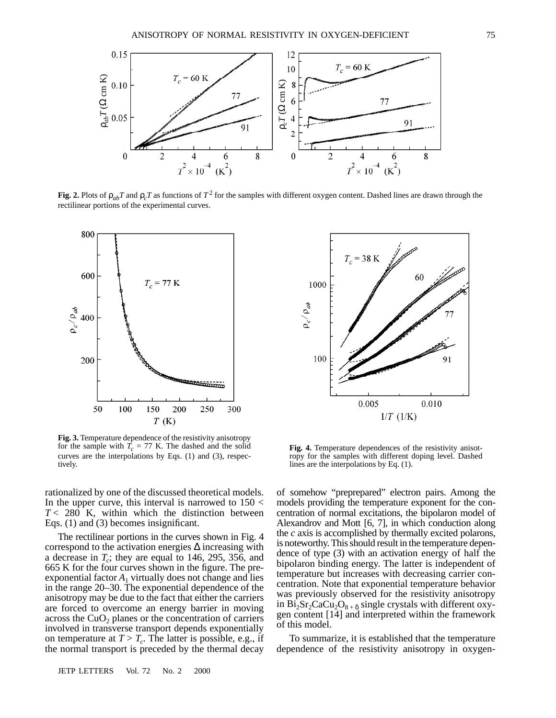

Fig. 2. Plots of  $\rho_{ab}T$  and  $\rho_cT$  as functions of  $T^2$  for the samples with different oxygen content. Dashed lines are drawn through the rectilinear portions of the experimental curves.



**Fig. 3.** Temperature dependence of the resistivity anisotropy for the sample with  $T_c = 77$  K. The dashed and the solid curves are the interpolations by Eqs. (1) and (3), respectively.

rationalized by one of the discussed theoretical models. In the upper curve, this interval is narrowed to  $150 <$  $T < 280$  K, within which the distinction between Eqs. (1) and (3) becomes insignificant.

The rectilinear portions in the curves shown in Fig. 4 correspond to the activation energies ∆ increasing with a decrease in  $T_c$ ; they are equal to 146, 295, 356, and 665 K for the four curves shown in the figure. The preexponential factor  $A_1$  virtually does not change and lies in the range 20–30. The exponential dependence of the anisotropy may be due to the fact that either the carriers are forced to overcome an energy barrier in moving across the  $CuO<sub>2</sub>$  planes or the concentration of carriers involved in transverse transport depends exponentially on temperature at  $T > T_c$ . The latter is possible, e.g., if the normal transport is preceded by the thermal decay

JETP LETTERS Vol. 72 No. 2 2000



**Fig. 4.** Temperature dependences of the resistivity anisotropy for the samples with different doping level. Dashed lines are the interpolations by Eq. (1).

of somehow "preprepared" electron pairs. Among the models providing the temperature exponent for the concentration of normal excitations, the bipolaron model of Alexandrov and Mott [6, 7], in which conduction along the *c* axis is accomplished by thermally excited polarons, is noteworthy. This should result in the temperature dependence of type (3) with an activation energy of half the bipolaron binding energy. The latter is independent of temperature but increases with decreasing carrier concentration. Note that exponential temperature behavior was previously observed for the resistivity anisotropy in Bi<sub>2</sub>Sr<sub>2</sub>CaCu<sub>2</sub>O<sub>8 + δ</sub> single crystals with different oxygen content [14] and interpreted within the framework of this model.

To summarize, it is established that the temperature dependence of the resistivity anisotropy in oxygen